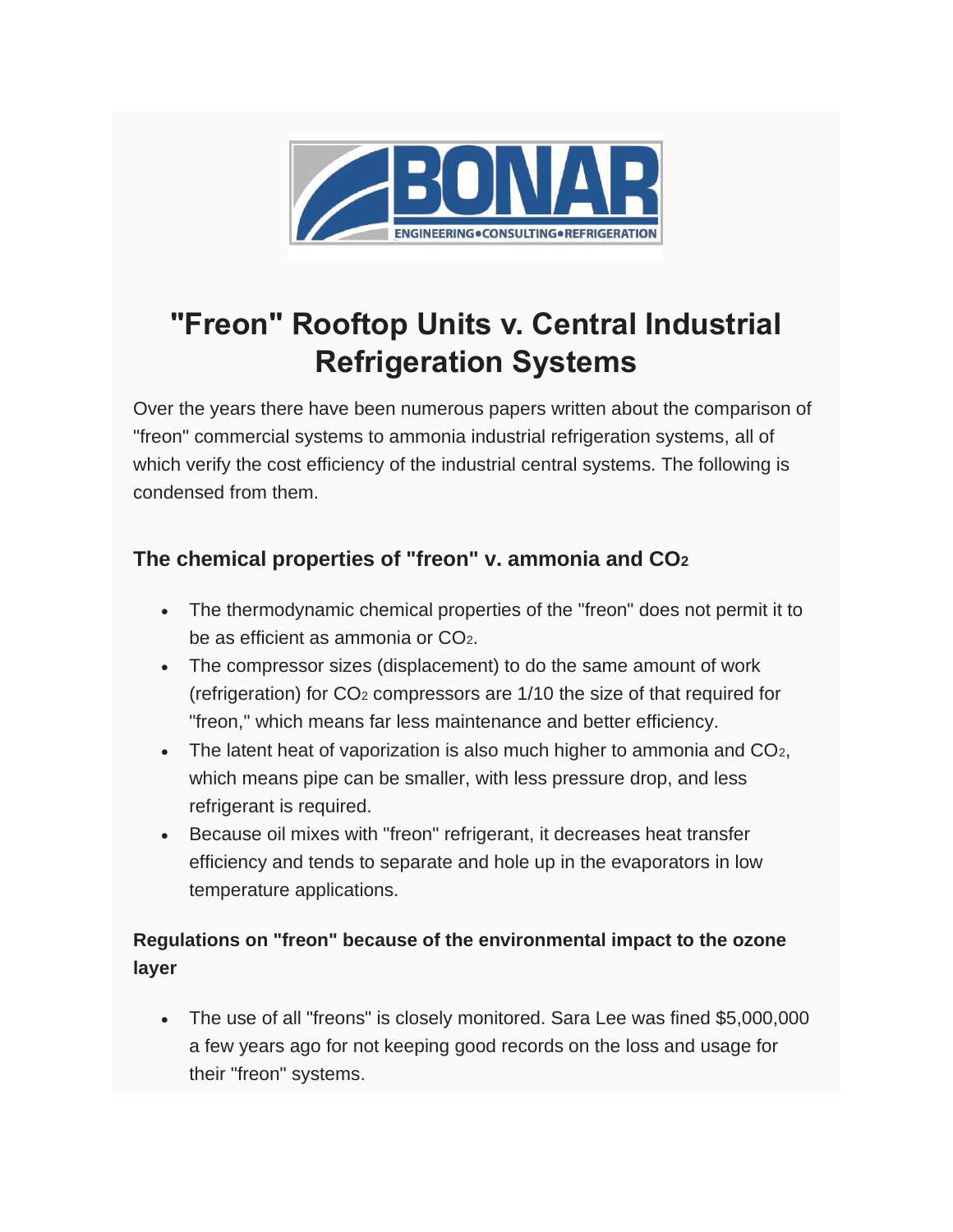

# **"Freon" Rooftop Units v. Central Industrial Refrigeration Systems**

Over the years there have been numerous papers written about the comparison of "freon" commercial systems to ammonia industrial refrigeration systems, all of which verify the cost efficiency of the industrial central systems. The following is condensed from them.

## **The chemical properties of "freon" v. ammonia and CO<sup>2</sup>**

- The thermodynamic chemical properties of the "freon" does not permit it to be as efficient as ammonia or CO2.
- The compressor sizes (displacement) to do the same amount of work (refrigeration) for CO<sup>2</sup> compressors are 1/10 the size of that required for "freon," which means far less maintenance and better efficiency.
- The latent heat of vaporization is also much higher to ammonia and  $CO<sub>2</sub>$ , which means pipe can be smaller, with less pressure drop, and less refrigerant is required.
- Because oil mixes with "freon" refrigerant, it decreases heat transfer efficiency and tends to separate and hole up in the evaporators in low temperature applications.

## **Regulations on "freon" because of the environmental impact to the ozone layer**

• The use of all "freons" is closely monitored. Sara Lee was fined \$5,000,000 a few years ago for not keeping good records on the loss and usage for their "freon" systems.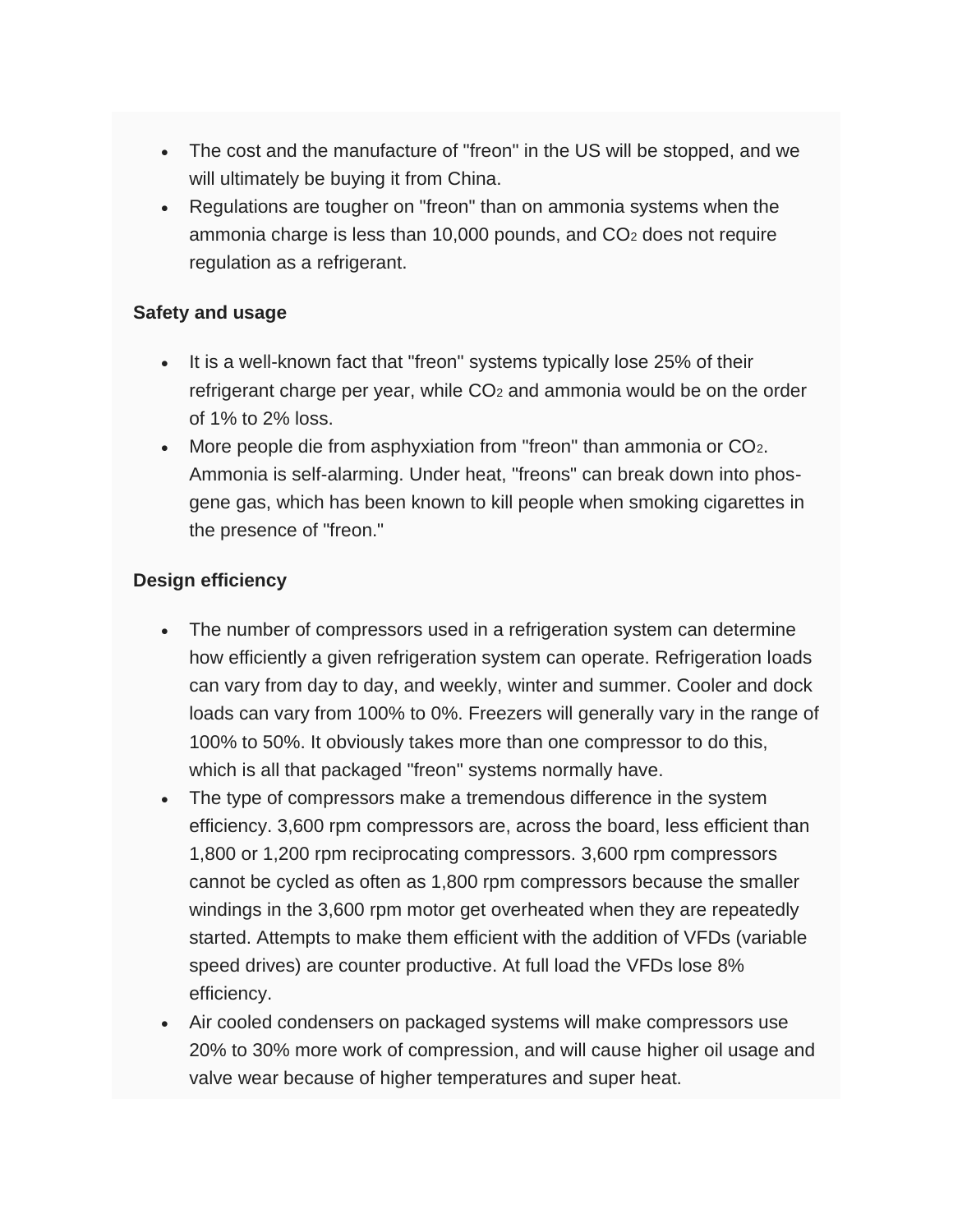- The cost and the manufacture of "freon" in the US will be stopped, and we will ultimately be buying it from China.
- Regulations are tougher on "freon" than on ammonia systems when the ammonia charge is less than 10,000 pounds, and  $CO<sub>2</sub>$  does not require regulation as a refrigerant.

#### **Safety and usage**

- It is a well-known fact that "freon" systems typically lose 25% of their refrigerant charge per year, while CO<sub>2</sub> and ammonia would be on the order of 1% to 2% loss.
- More people die from asphyxiation from "freon" than ammonia or CO<sub>2</sub>. Ammonia is self-alarming. Under heat, "freons" can break down into phosgene gas, which has been known to kill people when smoking cigarettes in the presence of "freon."

### **Design efficiency**

- The number of compressors used in a refrigeration system can determine how efficiently a given refrigeration system can operate. Refrigeration loads can vary from day to day, and weekly, winter and summer. Cooler and dock loads can vary from 100% to 0%. Freezers will generally vary in the range of 100% to 50%. It obviously takes more than one compressor to do this, which is all that packaged "freon" systems normally have.
- The type of compressors make a tremendous difference in the system efficiency. 3,600 rpm compressors are, across the board, less efficient than 1,800 or 1,200 rpm reciprocating compressors. 3,600 rpm compressors cannot be cycled as often as 1,800 rpm compressors because the smaller windings in the 3,600 rpm motor get overheated when they are repeatedly started. Attempts to make them efficient with the addition of VFDs (variable speed drives) are counter productive. At full load the VFDs lose 8% efficiency.
- Air cooled condensers on packaged systems will make compressors use 20% to 30% more work of compression, and will cause higher oil usage and valve wear because of higher temperatures and super heat.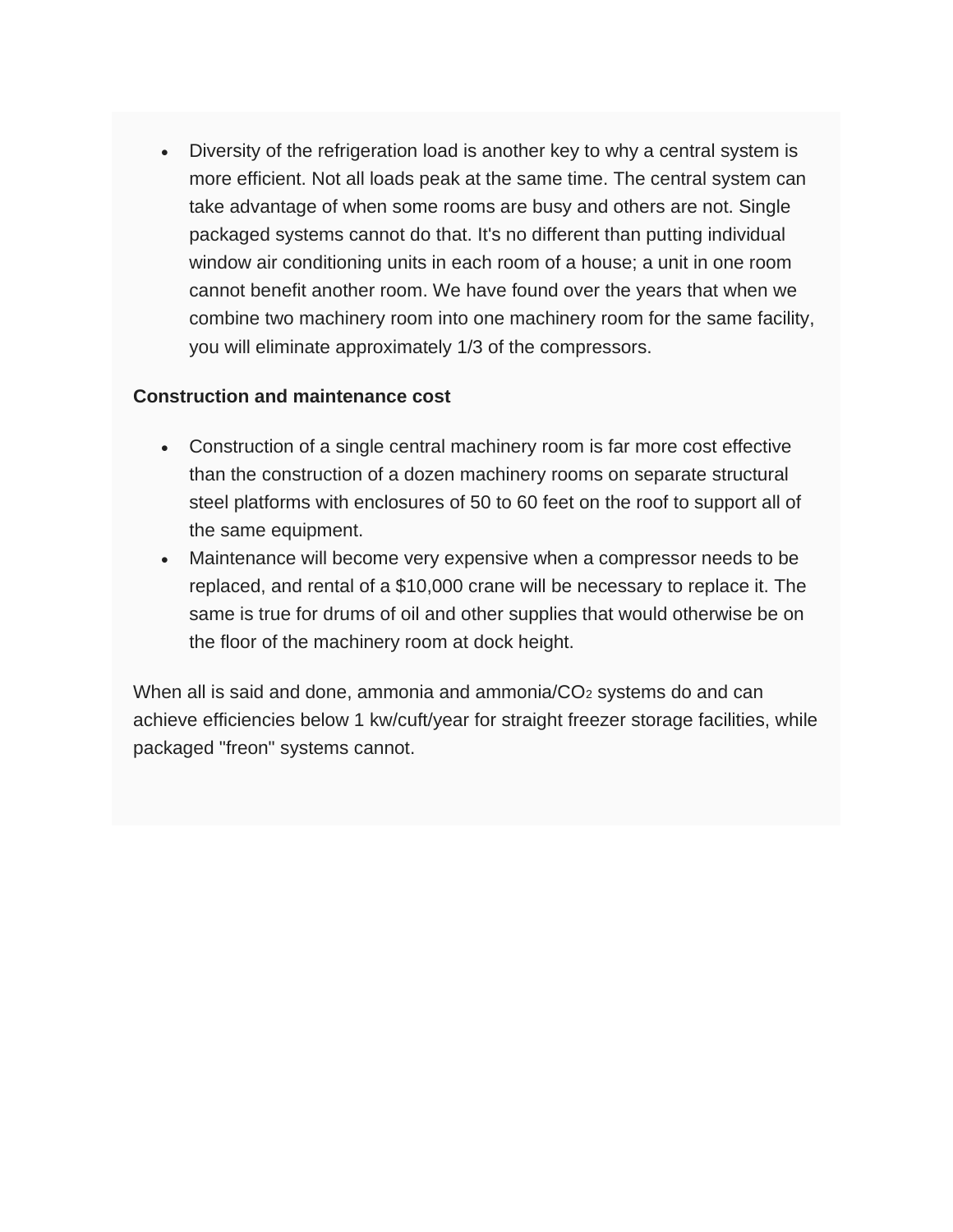• Diversity of the refrigeration load is another key to why a central system is more efficient. Not all loads peak at the same time. The central system can take advantage of when some rooms are busy and others are not. Single packaged systems cannot do that. It's no different than putting individual window air conditioning units in each room of a house; a unit in one room cannot benefit another room. We have found over the years that when we combine two machinery room into one machinery room for the same facility, you will eliminate approximately 1/3 of the compressors.

#### **Construction and maintenance cost**

- Construction of a single central machinery room is far more cost effective than the construction of a dozen machinery rooms on separate structural steel platforms with enclosures of 50 to 60 feet on the roof to support all of the same equipment.
- Maintenance will become very expensive when a compressor needs to be replaced, and rental of a \$10,000 crane will be necessary to replace it. The same is true for drums of oil and other supplies that would otherwise be on the floor of the machinery room at dock height.

When all is said and done, ammonia and ammonia/ $CO<sub>2</sub>$  systems do and can achieve efficiencies below 1 kw/cuft/year for straight freezer storage facilities, while packaged "freon" systems cannot.